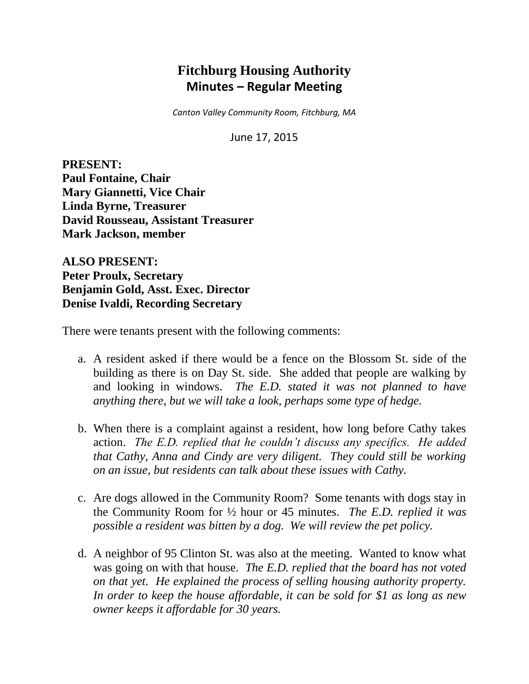# **Fitchburg Housing Authority Minutes – Regular Meeting**

*Canton Valley Community Room, Fitchburg, MA*

June 17, 2015

**PRESENT: Paul Fontaine, Chair Mary Giannetti, Vice Chair Linda Byrne, Treasurer David Rousseau, Assistant Treasurer Mark Jackson, member**

**ALSO PRESENT: Peter Proulx, Secretary Benjamin Gold, Asst. Exec. Director Denise Ivaldi, Recording Secretary**

There were tenants present with the following comments:

- a. A resident asked if there would be a fence on the Blossom St. side of the building as there is on Day St. side. She added that people are walking by and looking in windows. *The E.D. stated it was not planned to have anything there, but we will take a look, perhaps some type of hedge.*
- b. When there is a complaint against a resident, how long before Cathy takes action. *The E.D. replied that he couldn't discuss any specifics. He added that Cathy, Anna and Cindy are very diligent. They could still be working on an issue, but residents can talk about these issues with Cathy.*
- c. Are dogs allowed in the Community Room? Some tenants with dogs stay in the Community Room for ½ hour or 45 minutes. *The E.D. replied it was possible a resident was bitten by a dog. We will review the pet policy.*
- d. A neighbor of 95 Clinton St. was also at the meeting. Wanted to know what was going on with that house. *The E.D. replied that the board has not voted on that yet. He explained the process of selling housing authority property. In order to keep the house affordable, it can be sold for \$1 as long as new owner keeps it affordable for 30 years.*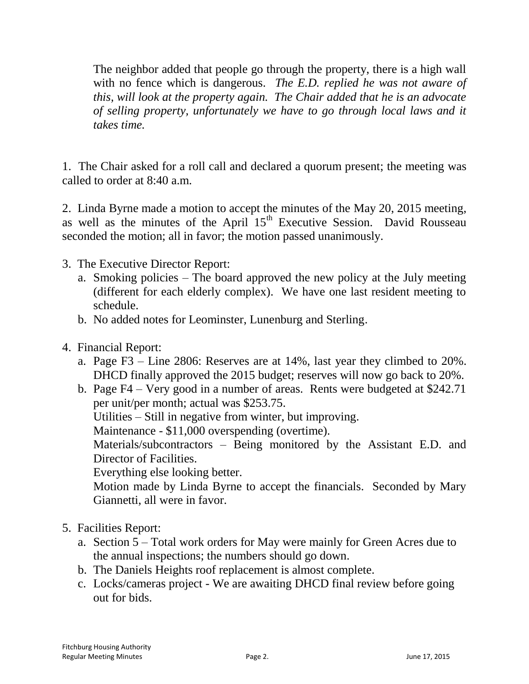The neighbor added that people go through the property, there is a high wall with no fence which is dangerous. *The E.D. replied he was not aware of this, will look at the property again. The Chair added that he is an advocate of selling property, unfortunately we have to go through local laws and it takes time.*

1. The Chair asked for a roll call and declared a quorum present; the meeting was called to order at 8:40 a.m.

2. Linda Byrne made a motion to accept the minutes of the May 20, 2015 meeting, as well as the minutes of the April 15<sup>th</sup> Executive Session. David Rousseau seconded the motion; all in favor; the motion passed unanimously.

- 3. The Executive Director Report:
	- a. Smoking policies The board approved the new policy at the July meeting (different for each elderly complex). We have one last resident meeting to schedule.
	- b. No added notes for Leominster, Lunenburg and Sterling.
- 4. Financial Report:
	- a. Page F3 Line 2806: Reserves are at 14%, last year they climbed to 20%. DHCD finally approved the 2015 budget; reserves will now go back to 20%.
	- b. Page F4 Very good in a number of areas. Rents were budgeted at \$242.71 per unit/per month; actual was \$253.75.

Utilities – Still in negative from winter, but improving.

Maintenance - \$11,000 overspending (overtime).

Materials/subcontractors – Being monitored by the Assistant E.D. and Director of Facilities.

Everything else looking better.

Motion made by Linda Byrne to accept the financials. Seconded by Mary Giannetti, all were in favor.

### 5. Facilities Report:

- a. Section 5 Total work orders for May were mainly for Green Acres due to the annual inspections; the numbers should go down.
- b. The Daniels Heights roof replacement is almost complete.
- c. Locks/cameras project We are awaiting DHCD final review before going out for bids.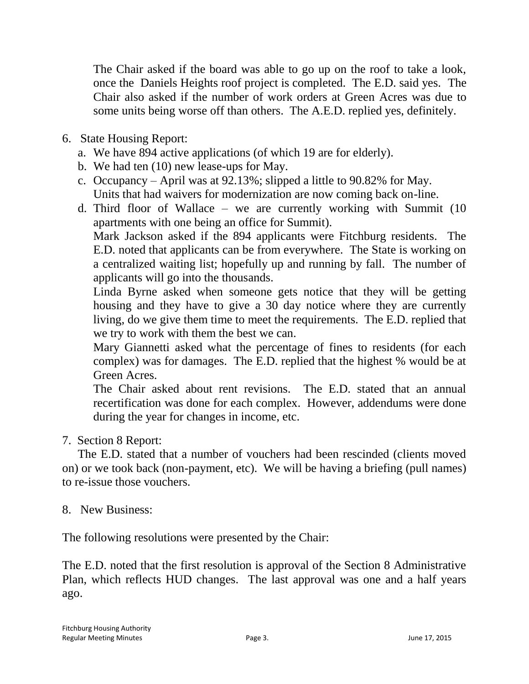The Chair asked if the board was able to go up on the roof to take a look, once the Daniels Heights roof project is completed. The E.D. said yes. The Chair also asked if the number of work orders at Green Acres was due to some units being worse off than others. The A.E.D. replied yes, definitely.

- 6. State Housing Report:
	- a. We have 894 active applications (of which 19 are for elderly).
	- b. We had ten (10) new lease-ups for May.
	- c. Occupancy April was at 92.13%; slipped a little to 90.82% for May. Units that had waivers for modernization are now coming back on-line.
	- d. Third floor of Wallace we are currently working with Summit (10 apartments with one being an office for Summit).

Mark Jackson asked if the 894 applicants were Fitchburg residents. The E.D. noted that applicants can be from everywhere. The State is working on a centralized waiting list; hopefully up and running by fall. The number of applicants will go into the thousands.

Linda Byrne asked when someone gets notice that they will be getting housing and they have to give a 30 day notice where they are currently living, do we give them time to meet the requirements. The E.D. replied that we try to work with them the best we can.

Mary Giannetti asked what the percentage of fines to residents (for each complex) was for damages. The E.D. replied that the highest % would be at Green Acres.

The Chair asked about rent revisions. The E.D. stated that an annual recertification was done for each complex. However, addendums were done during the year for changes in income, etc.

7. Section 8 Report:

The E.D. stated that a number of vouchers had been rescinded (clients moved on) or we took back (non-payment, etc). We will be having a briefing (pull names) to re-issue those vouchers.

### 8. New Business:

The following resolutions were presented by the Chair:

The E.D. noted that the first resolution is approval of the Section 8 Administrative Plan, which reflects HUD changes. The last approval was one and a half years ago.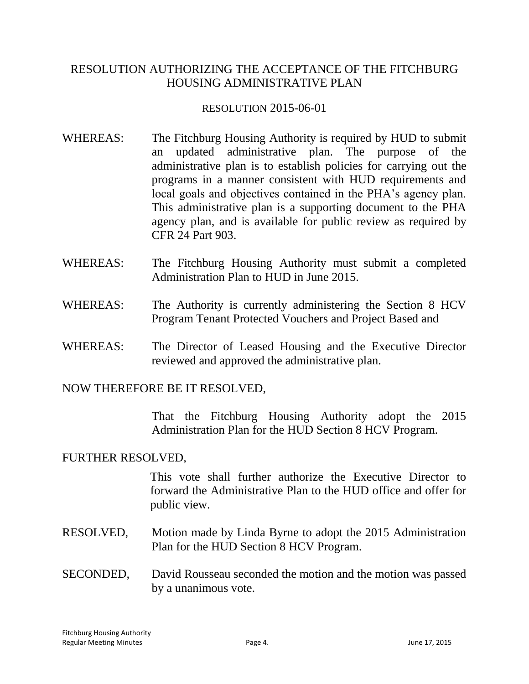### RESOLUTION AUTHORIZING THE ACCEPTANCE OF THE FITCHBURG HOUSING ADMINISTRATIVE PLAN

#### RESOLUTION 2015-06-01

- WHEREAS: The Fitchburg Housing Authority is required by HUD to submit an updated administrative plan. The purpose of the administrative plan is to establish policies for carrying out the programs in a manner consistent with HUD requirements and local goals and objectives contained in the PHA's agency plan. This administrative plan is a supporting document to the PHA agency plan, and is available for public review as required by CFR 24 Part 903.
- WHEREAS: The Fitchburg Housing Authority must submit a completed Administration Plan to HUD in June 2015.
- WHEREAS: The Authority is currently administering the Section 8 HCV Program Tenant Protected Vouchers and Project Based and
- WHEREAS: The Director of Leased Housing and the Executive Director reviewed and approved the administrative plan.

NOW THEREFORE BE IT RESOLVED,

That the Fitchburg Housing Authority adopt the 2015 Administration Plan for the HUD Section 8 HCV Program.

### FURTHER RESOLVED,

This vote shall further authorize the Executive Director to forward the Administrative Plan to the HUD office and offer for public view.

- RESOLVED, Motion made by Linda Byrne to adopt the 2015 Administration Plan for the HUD Section 8 HCV Program.
- SECONDED, David Rousseau seconded the motion and the motion was passed by a unanimous vote.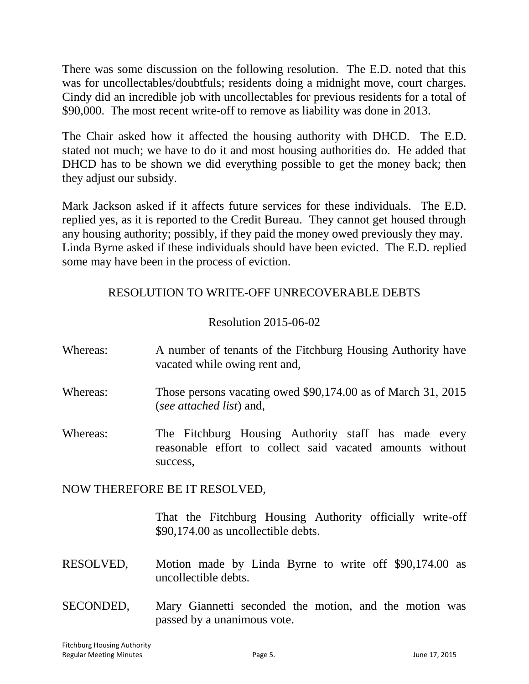There was some discussion on the following resolution. The E.D. noted that this was for uncollectables/doubtfuls; residents doing a midnight move, court charges. Cindy did an incredible job with uncollectables for previous residents for a total of \$90,000. The most recent write-off to remove as liability was done in 2013.

The Chair asked how it affected the housing authority with DHCD. The E.D. stated not much; we have to do it and most housing authorities do. He added that DHCD has to be shown we did everything possible to get the money back; then they adjust our subsidy.

Mark Jackson asked if it affects future services for these individuals. The E.D. replied yes, as it is reported to the Credit Bureau. They cannot get housed through any housing authority; possibly, if they paid the money owed previously they may. Linda Byrne asked if these individuals should have been evicted. The E.D. replied some may have been in the process of eviction.

# RESOLUTION TO WRITE-OFF UNRECOVERABLE DEBTS

# Resolution 2015-06-02

- Whereas: A number of tenants of the Fitchburg Housing Authority have vacated while owing rent and,
- Whereas: Those persons vacating owed \$90,174.00 as of March 31, 2015 (*see attached list*) and,
- Whereas: The Fitchburg Housing Authority staff has made every reasonable effort to collect said vacated amounts without success,

NOW THEREFORE BE IT RESOLVED,

That the Fitchburg Housing Authority officially write-off \$90,174.00 as uncollectible debts.

- RESOLVED, Motion made by Linda Byrne to write off \$90,174.00 as uncollectible debts.
- SECONDED, Mary Giannetti seconded the motion, and the motion was passed by a unanimous vote.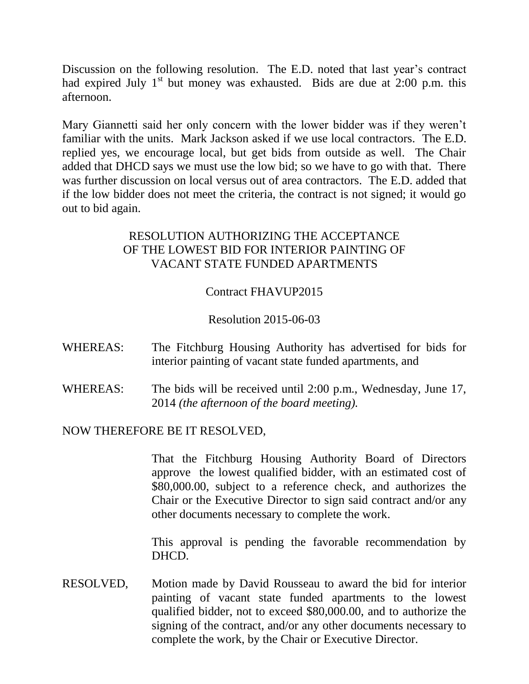Discussion on the following resolution. The E.D. noted that last year's contract had expired July  $1<sup>st</sup>$  but money was exhausted. Bids are due at 2:00 p.m. this afternoon.

Mary Giannetti said her only concern with the lower bidder was if they weren't familiar with the units. Mark Jackson asked if we use local contractors. The E.D. replied yes, we encourage local, but get bids from outside as well. The Chair added that DHCD says we must use the low bid; so we have to go with that. There was further discussion on local versus out of area contractors. The E.D. added that if the low bidder does not meet the criteria, the contract is not signed; it would go out to bid again.

# RESOLUTION AUTHORIZING THE ACCEPTANCE OF THE LOWEST BID FOR INTERIOR PAINTING OF VACANT STATE FUNDED APARTMENTS

# Contract FHAVUP2015

### Resolution 2015-06-03

- WHEREAS: The Fitchburg Housing Authority has advertised for bids for interior painting of vacant state funded apartments, and
- WHEREAS: The bids will be received until 2:00 p.m., Wednesday, June 17, 2014 *(the afternoon of the board meeting).*

#### NOW THEREFORE BE IT RESOLVED,

That the Fitchburg Housing Authority Board of Directors approve the lowest qualified bidder, with an estimated cost of \$80,000.00, subject to a reference check, and authorizes the Chair or the Executive Director to sign said contract and/or any other documents necessary to complete the work.

This approval is pending the favorable recommendation by DHCD.

RESOLVED, Motion made by David Rousseau to award the bid for interior painting of vacant state funded apartments to the lowest qualified bidder, not to exceed \$80,000.00, and to authorize the signing of the contract, and/or any other documents necessary to complete the work, by the Chair or Executive Director.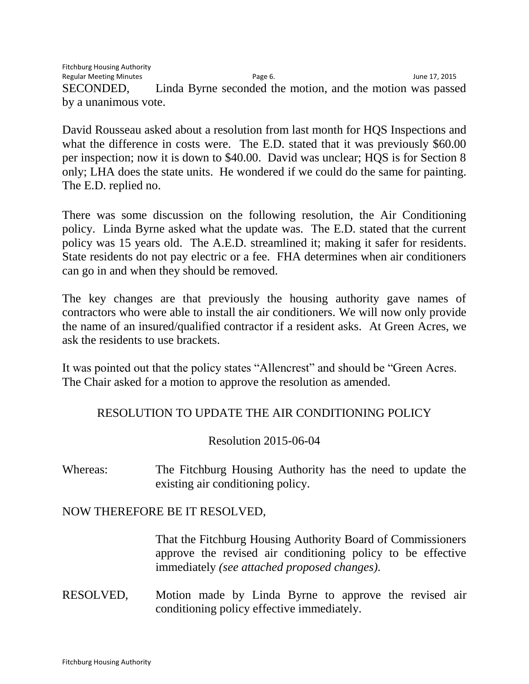Fitchburg Housing Authority Regular Meeting Minutes and the Communication of Page 6. The Communication of the Minutes of the Page 17, 2015 SECONDED, Linda Byrne seconded the motion, and the motion was passed by a unanimous vote.

David Rousseau asked about a resolution from last month for HQS Inspections and what the difference in costs were. The E.D. stated that it was previously \$60.00 per inspection; now it is down to \$40.00. David was unclear; HQS is for Section 8 only; LHA does the state units. He wondered if we could do the same for painting. The E.D. replied no.

There was some discussion on the following resolution, the Air Conditioning policy. Linda Byrne asked what the update was. The E.D. stated that the current policy was 15 years old. The A.E.D. streamlined it; making it safer for residents. State residents do not pay electric or a fee. FHA determines when air conditioners can go in and when they should be removed.

The key changes are that previously the housing authority gave names of contractors who were able to install the air conditioners. We will now only provide the name of an insured/qualified contractor if a resident asks. At Green Acres, we ask the residents to use brackets.

It was pointed out that the policy states "Allencrest" and should be "Green Acres. The Chair asked for a motion to approve the resolution as amended.

# RESOLUTION TO UPDATE THE AIR CONDITIONING POLICY

Resolution 2015-06-04

Whereas: The Fitchburg Housing Authority has the need to update the existing air conditioning policy.

### NOW THEREFORE BE IT RESOLVED,

That the Fitchburg Housing Authority Board of Commissioners approve the revised air conditioning policy to be effective immediately *(see attached proposed changes).*

RESOLVED, Motion made by Linda Byrne to approve the revised air conditioning policy effective immediately.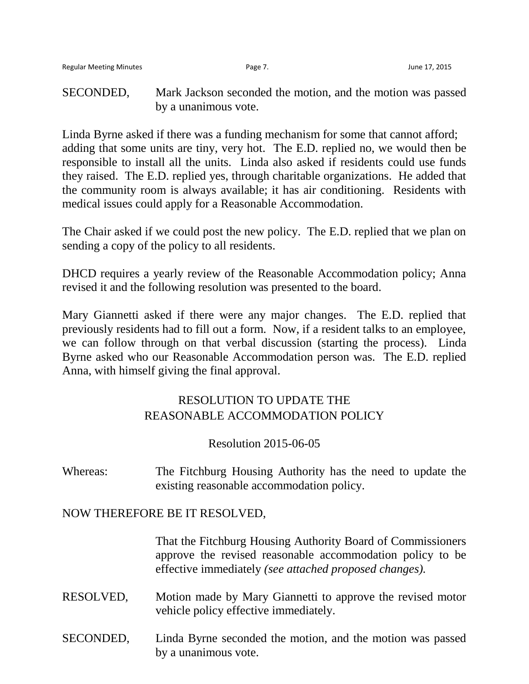SECONDED, Mark Jackson seconded the motion, and the motion was passed by a unanimous vote.

Linda Byrne asked if there was a funding mechanism for some that cannot afford; adding that some units are tiny, very hot. The E.D. replied no, we would then be responsible to install all the units. Linda also asked if residents could use funds they raised. The E.D. replied yes, through charitable organizations. He added that the community room is always available; it has air conditioning. Residents with medical issues could apply for a Reasonable Accommodation.

The Chair asked if we could post the new policy. The E.D. replied that we plan on sending a copy of the policy to all residents.

DHCD requires a yearly review of the Reasonable Accommodation policy; Anna revised it and the following resolution was presented to the board.

Mary Giannetti asked if there were any major changes. The E.D. replied that previously residents had to fill out a form. Now, if a resident talks to an employee, we can follow through on that verbal discussion (starting the process). Linda Byrne asked who our Reasonable Accommodation person was. The E.D. replied Anna, with himself giving the final approval.

# RESOLUTION TO UPDATE THE REASONABLE ACCOMMODATION POLICY

#### Resolution 2015-06-05

Whereas: The Fitchburg Housing Authority has the need to update the existing reasonable accommodation policy.

#### NOW THEREFORE BE IT RESOLVED,

That the Fitchburg Housing Authority Board of Commissioners approve the revised reasonable accommodation policy to be effective immediately *(see attached proposed changes).*

- RESOLVED, Motion made by Mary Giannetti to approve the revised motor vehicle policy effective immediately.
- SECONDED, Linda Byrne seconded the motion, and the motion was passed by a unanimous vote.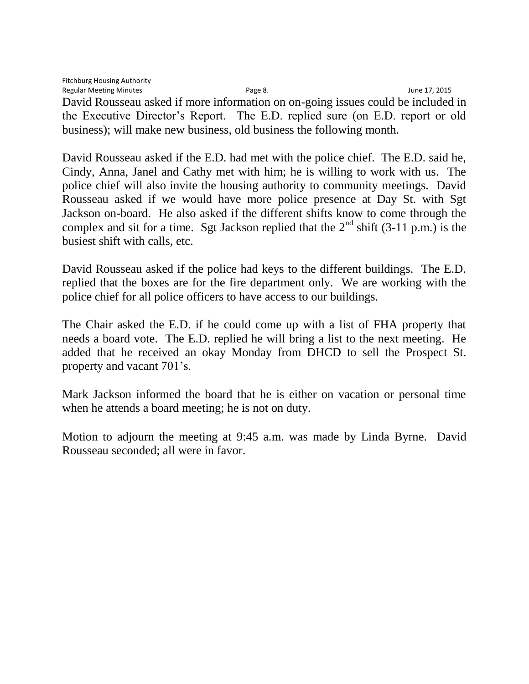Fitchburg Housing Authority Regular Meeting Minutes and the Cause of the Page 8. The Page 8. Second 17, 2015 David Rousseau asked if more information on on-going issues could be included in the Executive Director's Report. The E.D. replied sure (on E.D. report or old business); will make new business, old business the following month.

David Rousseau asked if the E.D. had met with the police chief. The E.D. said he, Cindy, Anna, Janel and Cathy met with him; he is willing to work with us. The police chief will also invite the housing authority to community meetings. David Rousseau asked if we would have more police presence at Day St. with Sgt Jackson on-board. He also asked if the different shifts know to come through the complex and sit for a time. Sgt Jackson replied that the  $2<sup>nd</sup>$  shift (3-11 p.m.) is the busiest shift with calls, etc.

David Rousseau asked if the police had keys to the different buildings. The E.D. replied that the boxes are for the fire department only. We are working with the police chief for all police officers to have access to our buildings.

The Chair asked the E.D. if he could come up with a list of FHA property that needs a board vote. The E.D. replied he will bring a list to the next meeting. He added that he received an okay Monday from DHCD to sell the Prospect St. property and vacant 701's.

Mark Jackson informed the board that he is either on vacation or personal time when he attends a board meeting; he is not on duty.

Motion to adjourn the meeting at 9:45 a.m. was made by Linda Byrne. David Rousseau seconded; all were in favor.